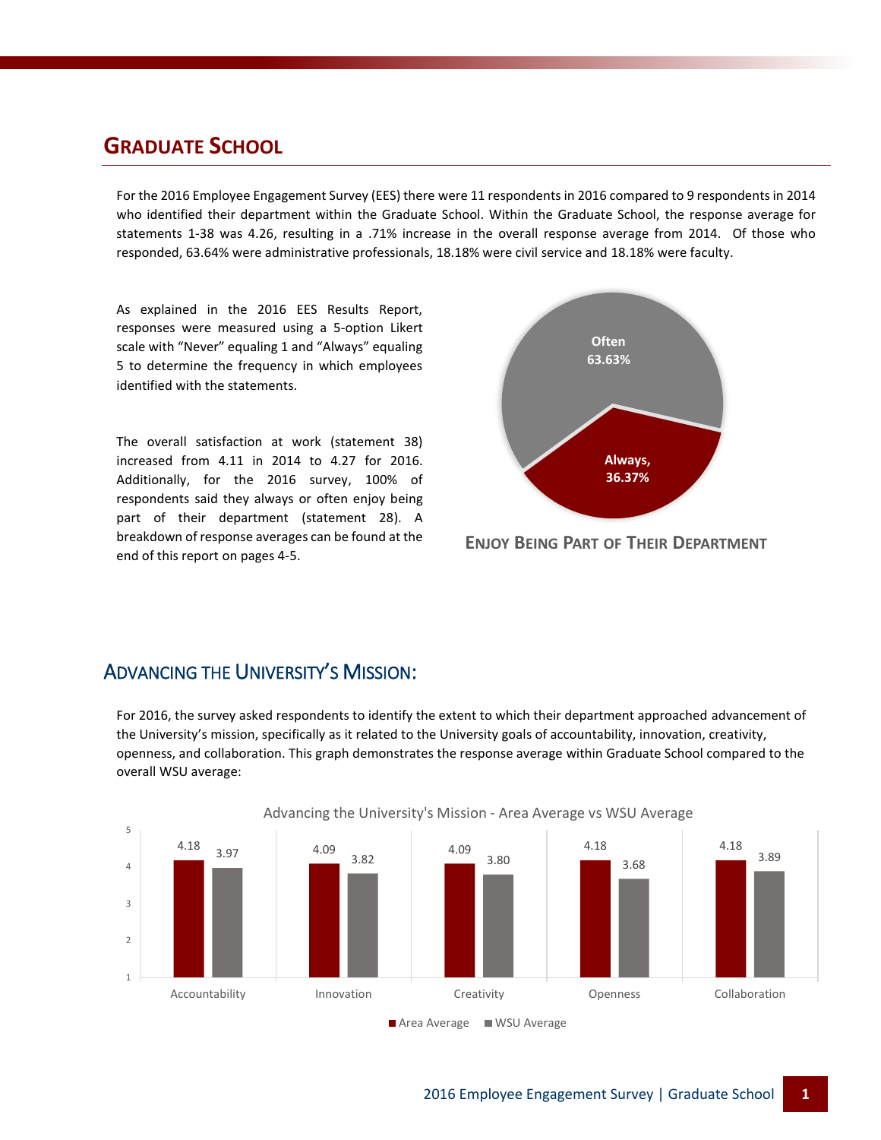### **GRADUATE SCHOOL**

For the 2016 Employee Engagement Survey (EES) there were 11 respondents in 2016 compared to 9 respondents in 2014 who identified their department within the Graduate School. Within the Graduate School, the response average for statements 1-38 was 4.26, resulting in a .71% increase in the overall response average from 2014. Of those who responded, 63.64% were administrative professionals, 18.18% were civil service and 18.18% were faculty.

As explained in the 2016 EES Results Report, responses were measured using a 5-option Likert scale with "Never" equaling 1 and "Always" equaling 5 to determine the frequency in which employees identified with the statements.

The overall satisfaction at work (statement 38) increased from 4.11 in 2014 to 4.27 for 2016. Additionally, for the 2016 survey, 100% of respondents said they always or often enjoy being part of their department (statement 28). A breakdown of response averages can be found at the end of this report on pages 4-5.



**ENJOY BEING PART OF THEIR DEPARTMENT**

#### ADVANCING THE UNIVERSITY'S MISSION:

For 2016, the survey asked respondents to identify the extent to which their department approached advancement of the University's mission, specifically as it related to the University goals of accountability, innovation, creativity, openness, and collaboration. This graph demonstrates the response average within Graduate School compared to the overall WSU average:



#### Advancing the University's Mission - Area Average vs WSU Average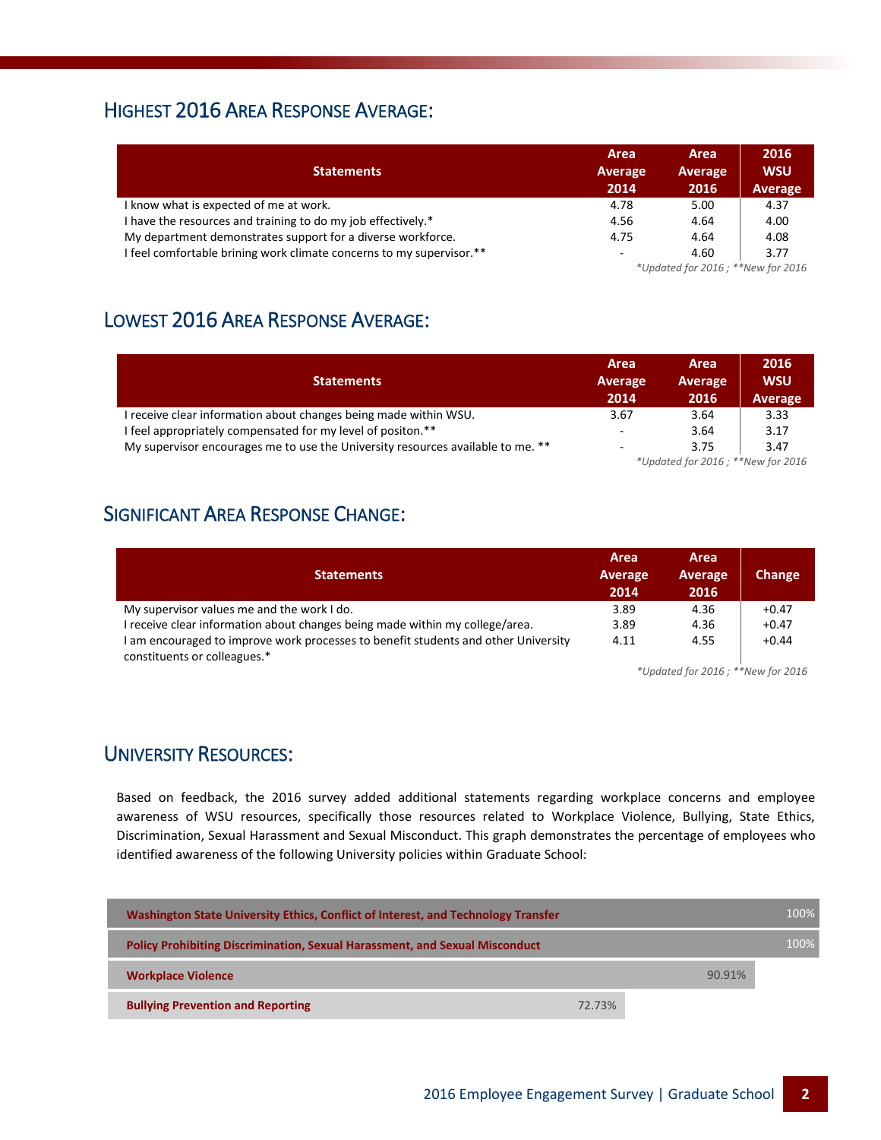# HIGHEST 2016 AREA RESPONSE AVERAGE:

| <b>Statements</b>                                                    | Area<br>Average<br>2014 | Area<br>Average<br>2016           | 2016<br><b>WSU</b><br>Average |  |
|----------------------------------------------------------------------|-------------------------|-----------------------------------|-------------------------------|--|
| I know what is expected of me at work.                               | 4.78                    | 5.00                              | 4.37                          |  |
| I have the resources and training to do my job effectively.*         | 4.56                    | 4.64                              | 4.00                          |  |
| My department demonstrates support for a diverse workforce.          | 4.75                    | 4.64                              | 4.08                          |  |
| I feel comfortable brining work climate concerns to my supervisor.** | $\sim$                  | 4.60                              | 3.77                          |  |
|                                                                      |                         | *Updated for 2016; **New for 2016 |                               |  |

# LOWEST 2016 AREA RESPONSE AVERAGE:

| <b>Statements</b>                                                               | Area<br>Average                   | Area<br>Average | 2016<br><b>WSU</b> |
|---------------------------------------------------------------------------------|-----------------------------------|-----------------|--------------------|
|                                                                                 | 2014                              | 2016            | Average            |
| I receive clear information about changes being made within WSU.                | 3.67                              | 3.64            | 3.33               |
| I feel appropriately compensated for my level of positon.**                     | $\overline{\phantom{a}}$          | 3.64            | 3.17               |
| My supervisor encourages me to use the University resources available to me. ** | $\sim$                            | 3.75            | 3.47               |
|                                                                                 | *Updated for 2016; **New for 2016 |                 |                    |

# SIGNIFICANT AREA RESPONSE CHANGE:

|                                                                                    | Area    | Area    |         |
|------------------------------------------------------------------------------------|---------|---------|---------|
| <b>Statements</b>                                                                  | Average | Average | Change  |
|                                                                                    | 2014    | 2016    |         |
| My supervisor values me and the work I do.                                         | 3.89    | 4.36    | $+0.47$ |
| I receive clear information about changes being made within my college/area.       | 3.89    | 4.36    | $+0.47$ |
| I am encouraged to improve work processes to benefit students and other University | 4.11    | 4.55    | $+0.44$ |
| constituents or colleagues.*                                                       |         |         |         |

*\*Updated for 2016 ; \*\*New for 2016*

#### UNIVERSITY RESOURCES:

Based on feedback, the 2016 survey added additional statements regarding workplace concerns and employee awareness of WSU resources, specifically those resources related to Workplace Violence, Bullying, State Ethics, Discrimination, Sexual Harassment and Sexual Misconduct. This graph demonstrates the percentage of employees who identified awareness of the following University policies within Graduate School:

| Washington State University Ethics, Conflict of Interest, and Technology Transfer  |        | 100%   |
|------------------------------------------------------------------------------------|--------|--------|
| <b>Policy Prohibiting Discrimination, Sexual Harassment, and Sexual Misconduct</b> |        | 100%   |
| <b>Workplace Violence</b>                                                          |        | 90.91% |
| <b>Bullying Prevention and Reporting</b>                                           | 72.73% |        |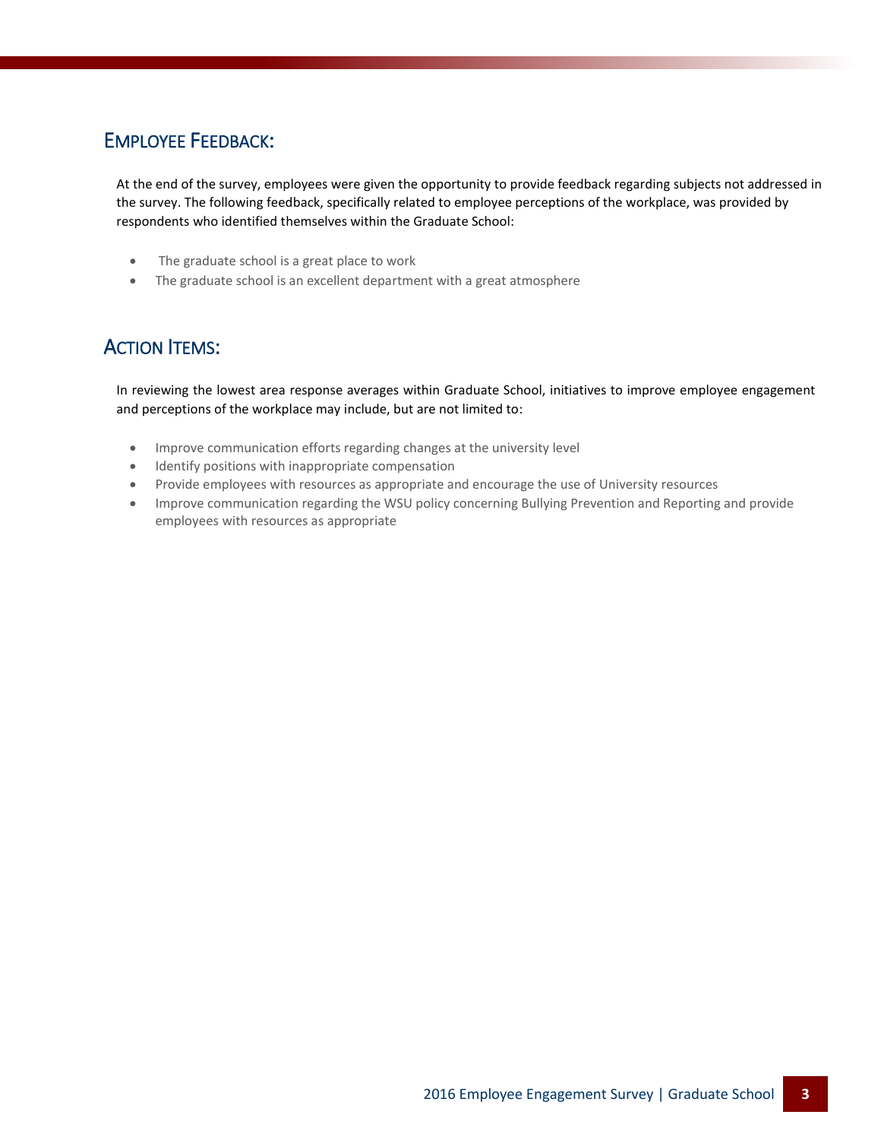# EMPLOYEE FEEDBACK:

At the end of the survey, employees were given the opportunity to provide feedback regarding subjects not addressed in the survey. The following feedback, specifically related to employee perceptions of the workplace, was provided by respondents who identified themselves within the Graduate School:

- The graduate school is a great place to work
- The graduate school is an excellent department with a great atmosphere

# **ACTION ITEMS:**

In reviewing the lowest area response averages within Graduate School, initiatives to improve employee engagement and perceptions of the workplace may include, but are not limited to:

- Improve communication efforts regarding changes at the university level
- Identify positions with inappropriate compensation
- Provide employees with resources as appropriate and encourage the use of University resources
- Improve communication regarding the WSU policy concerning Bullying Prevention and Reporting and provide employees with resources as appropriate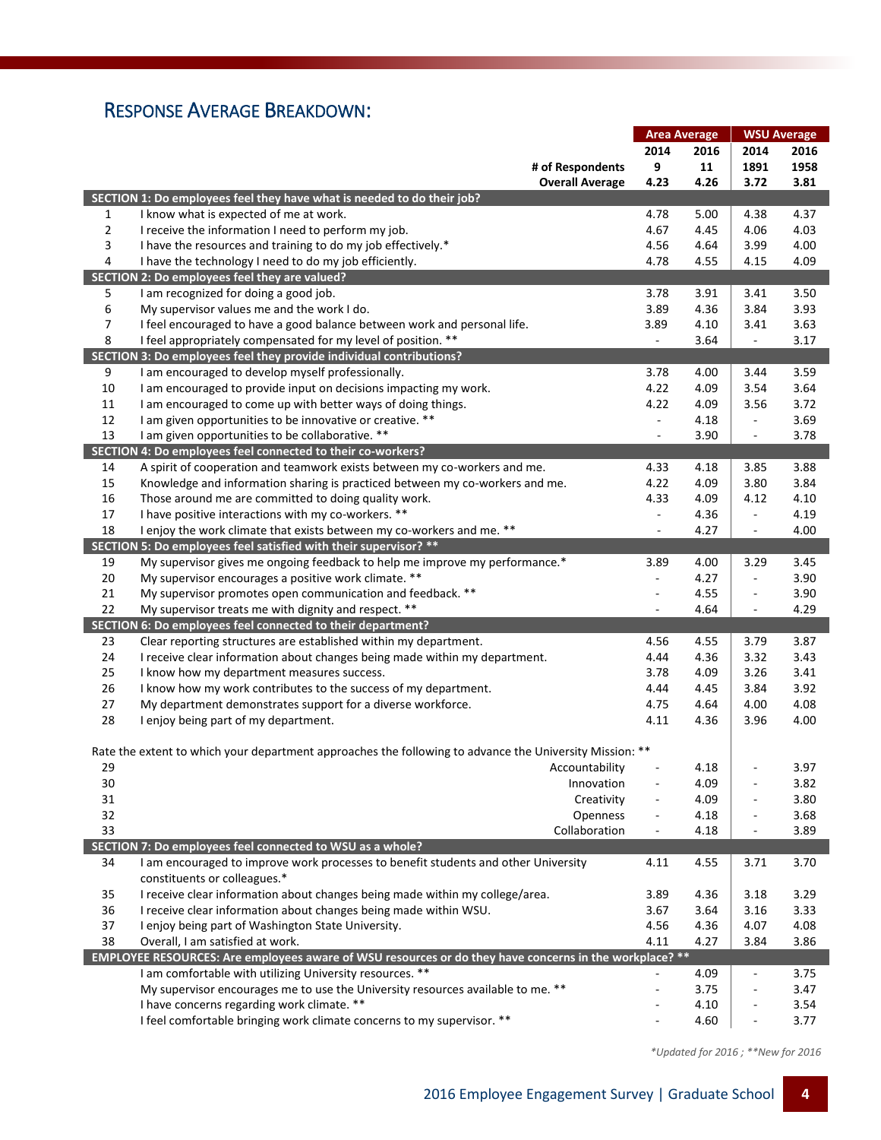# RESPONSE AVERAGE BREAKDOWN:

|                |                                                                                                         | <b>Area Average</b>      |      | <b>WSU Average</b>       |      |
|----------------|---------------------------------------------------------------------------------------------------------|--------------------------|------|--------------------------|------|
|                |                                                                                                         | 2014                     | 2016 | 2014                     | 2016 |
|                | # of Respondents                                                                                        | 9                        | 11   | 1891                     | 1958 |
|                | <b>Overall Average</b>                                                                                  | 4.23                     | 4.26 | 3.72                     | 3.81 |
|                | SECTION 1: Do employees feel they have what is needed to do their job?                                  |                          |      |                          |      |
| 1              | I know what is expected of me at work.                                                                  | 4.78                     | 5.00 | 4.38                     | 4.37 |
| $\overline{2}$ | I receive the information I need to perform my job.                                                     | 4.67                     | 4.45 | 4.06                     | 4.03 |
| 3              | I have the resources and training to do my job effectively.*                                            | 4.56                     | 4.64 | 3.99                     | 4.00 |
|                |                                                                                                         |                          |      |                          | 4.09 |
| 4              | I have the technology I need to do my job efficiently.<br>SECTION 2: Do employees feel they are valued? | 4.78                     | 4.55 | 4.15                     |      |
| 5              | I am recognized for doing a good job.                                                                   | 3.78                     | 3.91 | 3.41                     | 3.50 |
|                |                                                                                                         |                          |      |                          |      |
| 6              | My supervisor values me and the work I do.                                                              | 3.89                     | 4.36 | 3.84                     | 3.93 |
| $\overline{7}$ | I feel encouraged to have a good balance between work and personal life.                                | 3.89                     | 4.10 | 3.41                     | 3.63 |
| 8              | I feel appropriately compensated for my level of position. **                                           | $\Box$                   | 3.64 | $\Box$                   | 3.17 |
|                | SECTION 3: Do employees feel they provide individual contributions?                                     |                          |      |                          |      |
| 9              | I am encouraged to develop myself professionally.                                                       | 3.78                     | 4.00 | 3.44                     | 3.59 |
| 10             | I am encouraged to provide input on decisions impacting my work.                                        | 4.22                     | 4.09 | 3.54                     | 3.64 |
| 11             | I am encouraged to come up with better ways of doing things.                                            | 4.22                     | 4.09 | 3.56                     | 3.72 |
| 12             | I am given opportunities to be innovative or creative. **                                               | $\blacksquare$           | 4.18 | $\blacksquare$           | 3.69 |
| 13             | I am given opportunities to be collaborative. **                                                        | $\blacksquare$           | 3.90 | $\overline{\phantom{a}}$ | 3.78 |
|                | SECTION 4: Do employees feel connected to their co-workers?                                             |                          |      |                          |      |
| 14             | A spirit of cooperation and teamwork exists between my co-workers and me.                               | 4.33                     | 4.18 | 3.85                     | 3.88 |
| 15             | Knowledge and information sharing is practiced between my co-workers and me.                            | 4.22                     | 4.09 | 3.80                     | 3.84 |
| 16             | Those around me are committed to doing quality work.                                                    | 4.33                     | 4.09 | 4.12                     | 4.10 |
| 17             | I have positive interactions with my co-workers. **                                                     | $\blacksquare$           | 4.36 | $\Box$                   | 4.19 |
| 18             | I enjoy the work climate that exists between my co-workers and me. **                                   | $\overline{\phantom{a}}$ | 4.27 | $\overline{\phantom{a}}$ | 4.00 |
|                | SECTION 5: Do employees feel satisfied with their supervisor? **                                        |                          |      |                          |      |
| 19             | My supervisor gives me ongoing feedback to help me improve my performance.*                             | 3.89                     | 4.00 | 3.29                     | 3.45 |
| 20             | My supervisor encourages a positive work climate. **                                                    | $\overline{\phantom{a}}$ | 4.27 | ä,                       | 3.90 |
| 21             | My supervisor promotes open communication and feedback. **                                              | $\overline{a}$           | 4.55 | $\overline{a}$           | 3.90 |
| 22             | My supervisor treats me with dignity and respect. **                                                    | $\overline{\phantom{a}}$ | 4.64 | $\overline{\phantom{a}}$ | 4.29 |
|                | SECTION 6: Do employees feel connected to their department?                                             |                          |      |                          |      |
| 23             | Clear reporting structures are established within my department.                                        | 4.56                     | 4.55 | 3.79                     | 3.87 |
| 24             | I receive clear information about changes being made within my department.                              | 4.44                     | 4.36 | 3.32                     | 3.43 |
| 25             | I know how my department measures success.                                                              | 3.78                     | 4.09 | 3.26                     | 3.41 |
| 26             | I know how my work contributes to the success of my department.                                         | 4.44                     | 4.45 | 3.84                     | 3.92 |
| 27             | My department demonstrates support for a diverse workforce.                                             | 4.75                     | 4.64 | 4.00                     | 4.08 |
| 28             | I enjoy being part of my department.                                                                    | 4.11                     | 4.36 | 3.96                     | 4.00 |
|                |                                                                                                         |                          |      |                          |      |
|                | Rate the extent to which your department approaches the following to advance the University Mission: ** |                          |      |                          |      |
| 29             | Accountability                                                                                          |                          | 4.18 |                          | 3.97 |
| 30             | Innovation                                                                                              |                          | 4.09 | $\blacksquare$           | 3.82 |
|                |                                                                                                         | $\overline{\phantom{a}}$ |      |                          |      |
| 31             | Creativity                                                                                              |                          | 4.09 |                          | 3.80 |
| 32             | Openness                                                                                                |                          | 4.18 |                          | 3.68 |
| 33             | Collaboration                                                                                           |                          | 4.18 |                          | 3.89 |
|                | SECTION 7: Do employees feel connected to WSU as a whole?                                               |                          |      |                          |      |
| 34             | I am encouraged to improve work processes to benefit students and other University                      | 4.11                     | 4.55 | 3.71                     | 3.70 |
|                | constituents or colleagues.*                                                                            |                          |      |                          |      |
| 35             | I receive clear information about changes being made within my college/area.                            | 3.89                     | 4.36 | 3.18                     | 3.29 |
| 36             | I receive clear information about changes being made within WSU.                                        | 3.67                     | 3.64 | 3.16                     | 3.33 |
| 37             | I enjoy being part of Washington State University.                                                      | 4.56                     | 4.36 | 4.07                     | 4.08 |
| 38             | Overall, I am satisfied at work.                                                                        | 4.11                     | 4.27 | 3.84                     | 3.86 |
|                | EMPLOYEE RESOURCES: Are employees aware of WSU resources or do they have concerns in the workplace? **  |                          |      |                          |      |
|                | I am comfortable with utilizing University resources. **                                                | $\blacksquare$           | 4.09 | $\Box$                   | 3.75 |
|                | My supervisor encourages me to use the University resources available to me. **                         | ÷,                       | 3.75 | Ĭ.                       | 3.47 |
|                | I have concerns regarding work climate. **                                                              |                          | 4.10 |                          | 3.54 |
|                | I feel comfortable bringing work climate concerns to my supervisor. **                                  |                          | 4.60 |                          | 3.77 |

 *\*Updated for 2016 ; \*\*New for 2016*